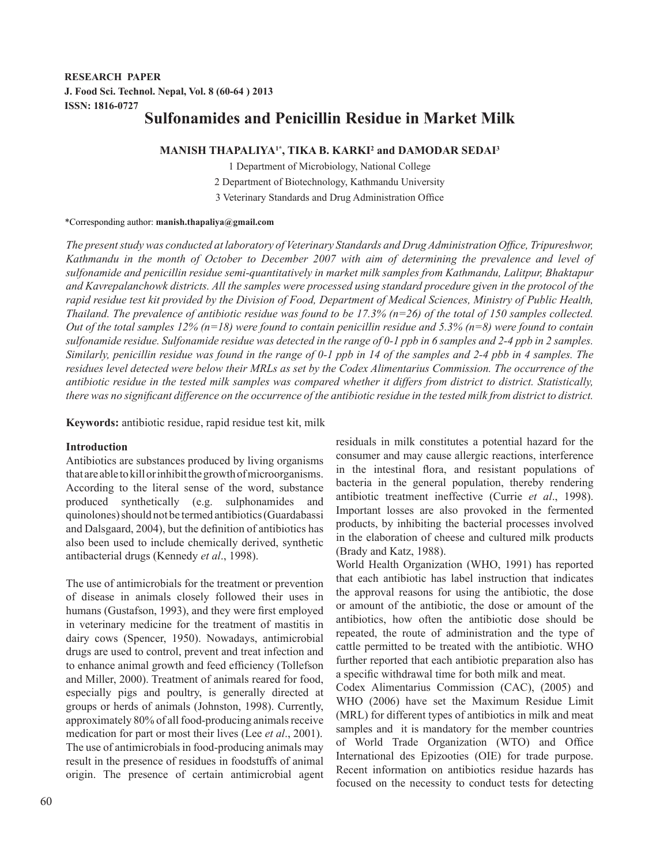# **RESEARCH PAPER J. Food Sci. Technol. Nepal, Vol. 8 (60-64 ) 2013 ISSN: 1816-0727 Sulfonamides and Penicillin Residue in Market Milk**

**MANISH THAPALIYA1\*, TIKA B. KARKI2 and DAMODAR SEDAI3** 1 Department of Microbiology, National College 2 Department of Biotechnology, Kathmandu University 3 Veterinary Standards and Drug Administration Office

\*Corresponding author: **manish.thapaliya@gmail.com**

*The present study was conducted at laboratory of Veterinary Standards and Drug Administration Office, Tripureshwor, Kathmandu in the month of October to December 2007 with aim of determining the prevalence and level of sulfonamide and penicillin residue semi-quantitatively in market milk samples from Kathmandu, Lalitpur, Bhaktapur and Kavrepalanchowk districts. All the samples were processed using standard procedure given in the protocol of the rapid residue test kit provided by the Division of Food, Department of Medical Sciences, Ministry of Public Health, Thailand. The prevalence of antibiotic residue was found to be 17.3% (n=26) of the total of 150 samples collected. Out of the total samples 12% (n=18) were found to contain penicillin residue and 5.3% (n=8) were found to contain sulfonamide residue. Sulfonamide residue was detected in the range of 0-1 ppb in 6 samples and 2-4 ppb in 2 samples. Similarly, penicillin residue was found in the range of 0-1 ppb in 14 of the samples and 2-4 pbb in 4 samples. The residues level detected were below their MRLs as set by the Codex Alimentarius Commission. The occurrence of the antibiotic residue in the tested milk samples was compared whether it differs from district to district. Statistically, there was no significant difference on the occurrence of the antibiotic residue in the tested milk from district to district.*

**Keywords:** antibiotic residue, rapid residue test kit, milk

# **Introduction**

Antibiotics are substances produced by living organisms that are able to kill or inhibit the growth of microorganisms. According to the literal sense of the word, substance produced synthetically (e.g. sulphonamides and quinolones) should not be termed antibiotics (Guardabassi and Dalsgaard, 2004), but the definition of antibiotics has also been used to include chemically derived, synthetic antibacterial drugs (Kennedy *et al*., 1998).

The use of antimicrobials for the treatment or prevention of disease in animals closely followed their uses in humans (Gustafson, 1993), and they were first employed in veterinary medicine for the treatment of mastitis in dairy cows (Spencer, 1950). Nowadays, antimicrobial drugs are used to control, prevent and treat infection and to enhance animal growth and feed efficiency (Tollefson and Miller, 2000). Treatment of animals reared for food, especially pigs and poultry, is generally directed at groups or herds of animals (Johnston, 1998). Currently, approximately 80% of all food-producing animals receive medication for part or most their lives (Lee *et al*., 2001). The use of antimicrobials in food-producing animals may result in the presence of residues in foodstuffs of animal origin. The presence of certain antimicrobial agent residuals in milk constitutes a potential hazard for the consumer and may cause allergic reactions, interference in the intestinal flora, and resistant populations of bacteria in the general population, thereby rendering antibiotic treatment ineffective (Currie *et al*., 1998). Important losses are also provoked in the fermented products, by inhibiting the bacterial processes involved in the elaboration of cheese and cultured milk products (Brady and Katz, 1988).

World Health Organization (WHO, 1991) has reported that each antibiotic has label instruction that indicates the approval reasons for using the antibiotic, the dose or amount of the antibiotic, the dose or amount of the antibiotics, how often the antibiotic dose should be repeated, the route of administration and the type of cattle permitted to be treated with the antibiotic. WHO further reported that each antibiotic preparation also has a specific withdrawal time for both milk and meat.

Codex Alimentarius Commission (CAC), (2005) and WHO (2006) have set the Maximum Residue Limit (MRL) for different types of antibiotics in milk and meat samples and it is mandatory for the member countries of World Trade Organization (WTO) and Office International des Epizooties (OIE) for trade purpose. Recent information on antibiotics residue hazards has focused on the necessity to conduct tests for detecting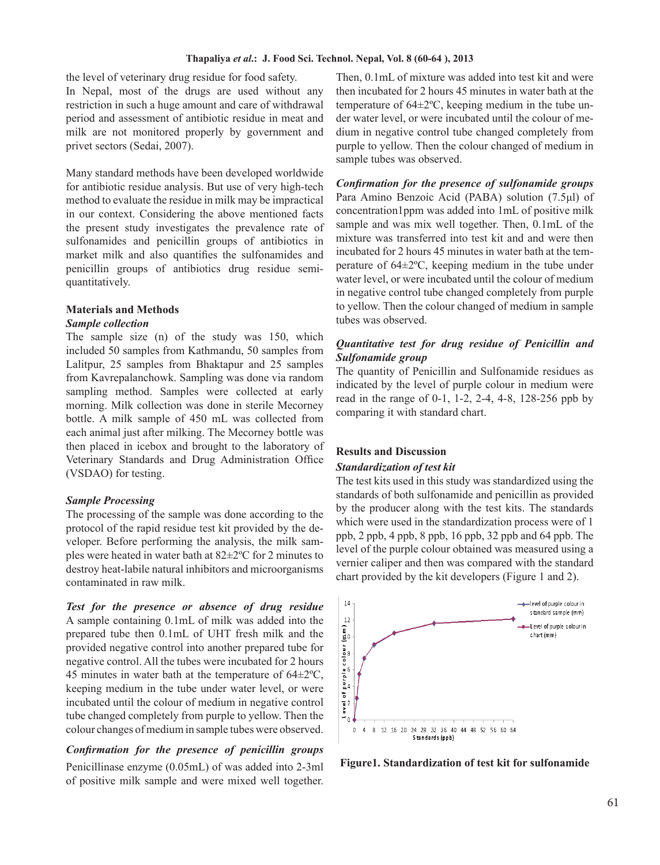#### **Thapaliya** *et al***.: J. Food Sci. Technol. Nepal, Vol. 8 (60-64 ), 2013**

the level of veterinary drug residue for food safety. In Nepal, most of the drugs are used without any restriction in such a huge amount and care of withdrawal period and assessment of antibiotic residue in meat and milk are not monitored properly by government and privet sectors (Sedai, 2007).

Many standard methods have been developed worldwide for antibiotic residue analysis. But use of very high-tech method to evaluate the residue in milk may be impractical in our context. Considering the above mentioned facts the present study investigates the prevalence rate of sulfonamides and penicillin groups of antibiotics in market milk and also quantifies the sulfonamides and penicillin groups of antibiotics drug residue semiquantitatively.

#### **Materials and Methods** *Sample collection*

The sample size (n) of the study was 150, which included 50 samples from Kathmandu, 50 samples from Lalitpur, 25 samples from Bhaktapur and 25 samples from Kavrepalanchowk. Sampling was done via random sampling method. Samples were collected at early morning. Milk collection was done in sterile Mecorney bottle. A milk sample of 450 mL was collected from each animal just after milking. The Mecorney bottle was then placed in icebox and brought to the laboratory of Veterinary Standards and Drug Administration Office (VSDAO) for testing.

# *Sample Processing*

The processing of the sample was done according to the protocol of the rapid residue test kit provided by the developer. Before performing the analysis, the milk samples were heated in water bath at 82±2ºC for 2 minutes to destroy heat-labile natural inhibitors and microorganisms contaminated in raw milk.

*Test for the presence or absence of drug residue* A sample containing 0.1mL of milk was added into the prepared tube then 0.1mL of UHT fresh milk and the provided negative control into another prepared tube for negative control. All the tubes were incubated for 2 hours 45 minutes in water bath at the temperature of  $64\pm2\degree C$ , keeping medium in the tube under water level, or were incubated until the colour of medium in negative control tube changed completely from purple to yellow. Then the colour changes of medium in sample tubes were observed.

## *Confirmation for the presence of penicillin groups*

Penicillinase enzyme (0.05mL) of was added into 2-3ml of positive milk sample and were mixed well together. Then, 0.1mL of mixture was added into test kit and were then incubated for 2 hours 45 minutes in water bath at the temperature of 64±2ºC, keeping medium in the tube under water level, or were incubated until the colour of medium in negative control tube changed completely from purple to yellow. Then the colour changed of medium in sample tubes was observed.

*Confirmation for the presence of sulfonamide groups* Para Amino Benzoic Acid (PABA) solution (7.5μl) of concentration1ppm was added into 1mL of positive milk sample and was mix well together. Then, 0.1mL of the mixture was transferred into test kit and and were then incubated for 2 hours 45 minutes in water bath at the temperature of 64±2ºC, keeping medium in the tube under water level, or were incubated until the colour of medium in negative control tube changed completely from purple to yellow. Then the colour changed of medium in sample tubes was observed.

# *Quantitative test for drug residue of Penicillin and Sulfonamide group .*

The quantity of Penicillin and Sulfonamide residues as indicated by the level of purple colour in medium were read in the range of 0-1, 1-2, 2-4, 4-8, 128-256 ppb by comparing it with standard chart.

# **Results and Discussion**

# *Standardization of test kit .*

The test kits used in this study was standardized using the standards of both sulfonamide and penicillin as provided by the producer along with the test kits. The standards which were used in the standardization process were of 1 ppb, 2 ppb, 4 ppb, 8 ppb, 16 ppb, 32 ppb and 64 ppb. The level of the purple colour obtained was measured using a vernier caliper and then was compared with the standard chart provided by the kit developers (Figure 1 and 2).



**Figure1. Standardization of test kit for sulfonamide**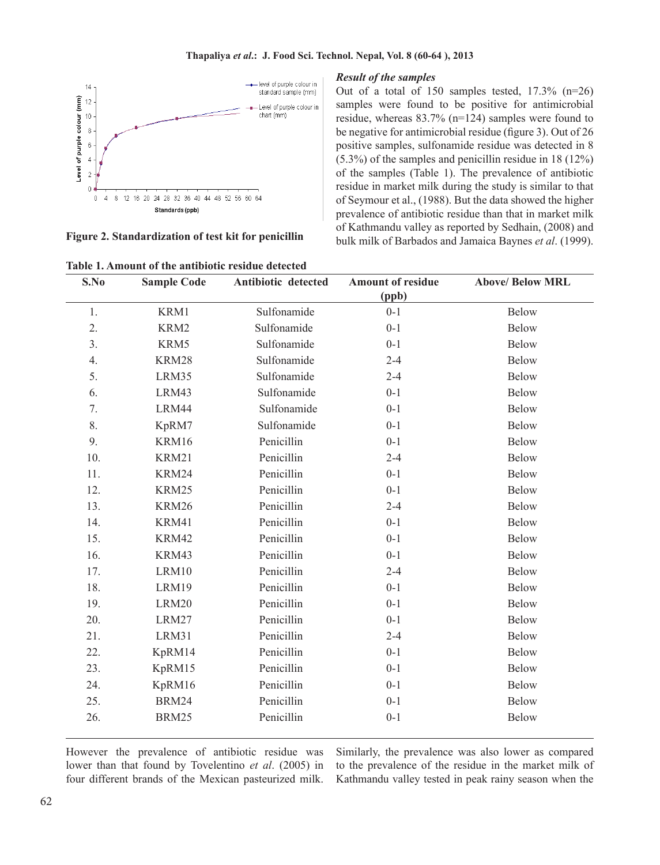

**Figure 2. Standardization of test kit for penicillin**

#### *Result of the samples*

Out of a total of 150 samples tested, 17.3% (n=26) samples were found to be positive for antimicrobial residue, whereas 83.7% (n=124) samples were found to be negative for antimicrobial residue (figure 3). Out of 26 positive samples, sulfonamide residue was detected in 8 (5.3%) of the samples and penicillin residue in 18 (12%) of the samples (Table 1). The prevalence of antibiotic residue in market milk during the study is similar to that of Seymour et al., (1988). But the data showed the higher prevalence of antibiotic residue than that in market milk of Kathmandu valley as reported by Sedhain, (2008) and bulk milk of Barbados and Jamaica Baynes *et al*. (1999).

| S.No           | <b>Sample Code</b> | Antibiotic detected | <b>Amount of residue</b><br>(ppb) | <b>Above/ Below MRL</b> |
|----------------|--------------------|---------------------|-----------------------------------|-------------------------|
| 1.             | KRM1               | Sulfonamide         | $0 - 1$                           | <b>Below</b>            |
| 2.             | KRM2               | Sulfonamide         | $0 - 1$                           | <b>Below</b>            |
| 3 <sub>1</sub> | KRM5               | Sulfonamide         | $0 - 1$                           | <b>Below</b>            |
| 4.             | KRM28              | Sulfonamide         | $2 - 4$                           | <b>Below</b>            |
| 5.             | LRM35              | Sulfonamide         | $2 - 4$                           | Below                   |
| 6.             | LRM43              | Sulfonamide         | $0 - 1$                           | <b>Below</b>            |
| 7.             | LRM44              | Sulfonamide         | $0 - 1$                           | <b>Below</b>            |
| 8.             | KpRM7              | Sulfonamide         | $0 - 1$                           | <b>Below</b>            |
| 9.             | KRM16              | Penicillin          | $0 - 1$                           | <b>Below</b>            |
| 10.            | KRM21              | Penicillin          | $2 - 4$                           | <b>Below</b>            |
| 11.            | KRM24              | Penicillin          | $0 - 1$                           | <b>Below</b>            |
| 12.            | KRM25              | Penicillin          | $0 - 1$                           | <b>Below</b>            |
| 13.            | KRM26              | Penicillin          | $2 - 4$                           | <b>Below</b>            |
| 14.            | KRM41              | Penicillin          | $0 - 1$                           | <b>Below</b>            |
| 15.            | KRM42              | Penicillin          | $0 - 1$                           | <b>Below</b>            |
| 16.            | KRM43              | Penicillin          | $0 - 1$                           | <b>Below</b>            |
| 17.            | LRM10              | Penicillin          | $2 - 4$                           | <b>Below</b>            |
| 18.            | LRM19              | Penicillin          | $0 - 1$                           | <b>Below</b>            |
| 19.            | LRM20              | Penicillin          | $0 - 1$                           | <b>Below</b>            |
| 20.            | LRM27              | Penicillin          | $0 - 1$                           | <b>Below</b>            |
| 21.            | LRM31              | Penicillin          | $2 - 4$                           | <b>Below</b>            |
| 22.            | KpRM14             | Penicillin          | $0 - 1$                           | <b>Below</b>            |
| 23.            | KpRM15             | Penicillin          | $0 - 1$                           | Below                   |
| 24.            | KpRM16             | Penicillin          | $0 - 1$                           | <b>Below</b>            |
| 25.            | <b>BRM24</b>       | Penicillin          | $0 - 1$                           | <b>Below</b>            |
| 26.            | BRM25              | Penicillin          | $0 - 1$                           | Below                   |

However the prevalence of antibiotic residue was lower than that found by Tovelentino *et al*. (2005) in four different brands of the Mexican pasteurized milk. Similarly, the prevalence was also lower as compared to the prevalence of the residue in the market milk of Kathmandu valley tested in peak rainy season when the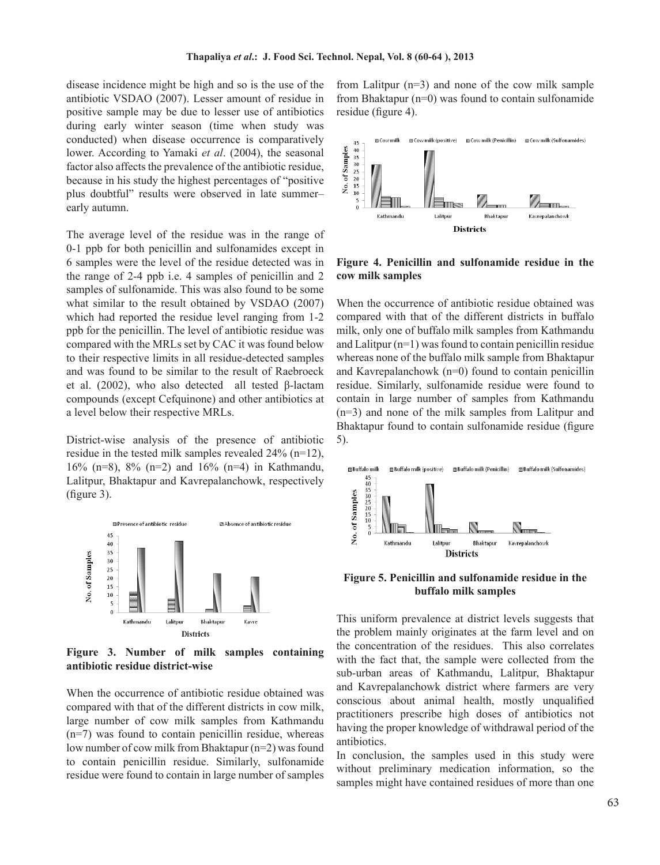disease incidence might be high and so is the use of the antibiotic VSDAO (2007). Lesser amount of residue in positive sample may be due to lesser use of antibiotics during early winter season (time when study was conducted) when disease occurrence is comparatively lower. According to Yamaki *et al*. (2004), the seasonal factor also affects the prevalence of the antibiotic residue, because in his study the highest percentages of "positive plus doubtful" results were observed in late summer– early autumn.

The average level of the residue was in the range of 0-1 ppb for both penicillin and sulfonamides except in 6 samples were the level of the residue detected was in the range of 2-4 ppb i.e. 4 samples of penicillin and 2 samples of sulfonamide. This was also found to be some what similar to the result obtained by VSDAO (2007) which had reported the residue level ranging from 1-2 ppb for the penicillin. The level of antibiotic residue was compared with the MRLs set by CAC it was found below to their respective limits in all residue-detected samples and was found to be similar to the result of Raebroeck et al. (2002), who also detected all tested β-lactam compounds (except Cefquinone) and other antibiotics at a level below their respective MRLs.

District-wise analysis of the presence of antibiotic residue in the tested milk samples revealed 24% (n=12), 16% (n=8), 8% (n=2) and 16% (n=4) in Kathmandu, Lalitpur, Bhaktapur and Kavrepalanchowk, respectively (figure 3).



**Figure 3. Number of milk samples containing antibiotic residue district-wise**

When the occurrence of antibiotic residue obtained was compared with that of the different districts in cow milk, large number of cow milk samples from Kathmandu (n=7) was found to contain penicillin residue, whereas low number of cow milk from Bhaktapur (n=2) was found to contain penicillin residue. Similarly, sulfonamide residue were found to contain in large number of samples from Lalitpur (n=3) and none of the cow milk sample from Bhaktapur  $(n=0)$  was found to contain sulfonamide residue (figure 4).



**Figure 4. Penicillin and sulfonamide residue in the cow milk samples**

When the occurrence of antibiotic residue obtained was compared with that of the different districts in buffalo milk, only one of buffalo milk samples from Kathmandu and Lalitpur (n=1) was found to contain penicillin residue whereas none of the buffalo milk sample from Bhaktapur and Kavrepalanchowk (n=0) found to contain penicillin residue. Similarly, sulfonamide residue were found to contain in large number of samples from Kathmandu (n=3) and none of the milk samples from Lalitpur and Bhaktapur found to contain sulfonamide residue (figure 5).



**Figure 5. Penicillin and sulfonamide residue in the buffalo milk samples**

This uniform prevalence at district levels suggests that the problem mainly originates at the farm level and on the concentration of the residues. This also correlates with the fact that, the sample were collected from the sub-urban areas of Kathmandu, Lalitpur, Bhaktapur and Kavrepalanchowk district where farmers are very conscious about animal health, mostly unqualified practitioners prescribe high doses of antibiotics not having the proper knowledge of withdrawal period of the antibiotics.

In conclusion, the samples used in this study were without preliminary medication information, so the samples might have contained residues of more than one